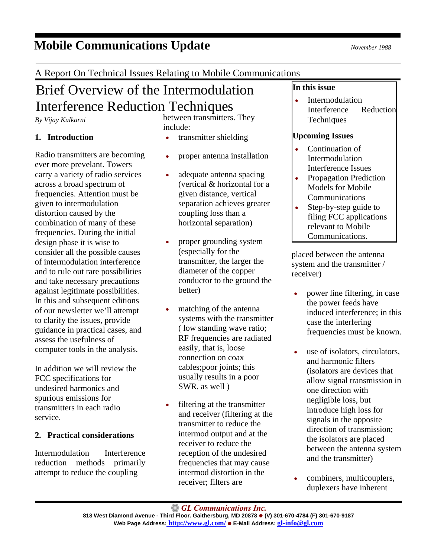#### GL Communications Inc. **818 West Diamond Avenue - Third Floor. Gaithersburg, MD 20878** z **(V) 301-670-4784 (F) 301-670-9187 Web Page Address: <http://www.gl.com/>** z **E-Mail Address: [gl-info@gl.com](mailto:gl-info@gl.com)**

( low standing wave ratio; RF frequencies are radiated easily, that is, loose connection on coax cables;poor joints; this usually results in a poor SWR. as well )

filtering at the transmitter transmitter to reduce the intermod output and at the receiver to reduce the reception of the undesired frequencies that may cause intermod distortion in the

placed between the antenna system and the transmitter / receiver)

- power line filtering, in case the power feeds have induced interference; in this case the interfering frequencies must be known.
- use of isolators, circulators, and harmonic filters (isolators are devices that allow signal transmission in one direction with negligible loss, but introduce high loss for signals in the opposite direction of transmission; the isolators are placed between the antenna system and the transmitter)
- combiners, multicouplers, duplexers have inherent

## A Report On Technical Issues Relating to Mobile Communications

# Brief Overview of the Intermodulation Interference Reduction Techniques

*By Vijay Kulkarni*

### **1. Introduction**

Radio transmitters are becoming ever more prevelant. Towers carry a variety of radio services across a broad spectrum of frequencies. Attention must be given to intermodulation distortion caused by the combination of many of these frequencies. During the initial design phase it is wise to consider all the possible causes of intermodulation interference and to rule out rare possibilities and take necessary precautions against legitimate possibilities. In this and subsequent editions of our newsletter we'll attempt to clarify the issues, provide guidance in practical cases, and assess the usefulness of computer tools in the analysis.

In addition we will review the FCC specifications for undesired harmonics and spurious emissions for transmitters in each radio service.

### **2. Practical considerations**

Intermodulation Interference reduction methods primarily attempt to reduce the coupling

between transmitters. They include:

- transmitter shielding
- proper antenna installation
- adequate antenna spacing (vertical & horizontal for a given distance, vertical separation achieves greater coupling loss than a horizontal separation)
- proper grounding system (especially for the transmitter, the larger the diameter of the copper conductor to the ground the better)
- matching of the antenna systems with the transmitter
- and receiver (filtering at the receiver; filters are

**In this issue**

**Intermodulation** 

Continuation of Intermodulation Interference Issues • Propagation Prediction Models for Mobile Communications Step-by-step guide to filing FCC applications relevant to Mobile Communications.

**Techniques** 

**Upcoming Issues** 

Interference Reduction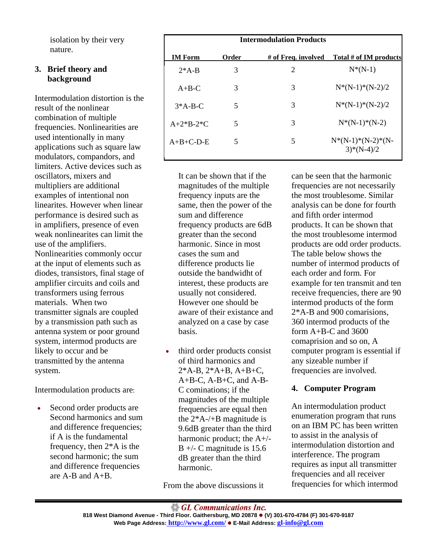isolation by their very nature.

#### **3. Brief theory and background**

Intermodulation distortion is the result of the nonlinear combination of multiple frequencies. Nonlinearities are used intentionally in many applications such as square law modulators, compandors, and limiters. Active devices such as oscillators, mixers and multipliers are additional examples of intentional non linearites. However when linear performance is desired such as in amplifiers, presence of even weak nonlinearites can limit the use of the amplifiers. Nonlinearities commonly occur at the input of elements such as diodes, transistors, final stage of amplifier circuits and coils and transformers using ferrous materials. When two transmitter signals are coupled by a transmission path such as antenna system or poor ground system, intermod products are likely to occur and be transmitted by the antenna system.

Intermodulation products are:

• Second order products are Second harmonics and sum and difference frequencies; if A is the fundamental frequency, then 2\*A is the second harmonic; the sum and difference frequencies are A-B and A+B.

| <b>Intermodulation Products</b> |       |                     |                                        |
|---------------------------------|-------|---------------------|----------------------------------------|
| <b>IM Form</b>                  | Order | # of Freq. involved | Total # of IM products                 |
| $2*A-B$                         | 3     | 2                   | $N^*(N-1)$                             |
| $A + B - C$                     | 3     | 3                   | $N^*(N-1)^*(N-2)/2$                    |
| $3*A-B-C$                       | 5     | 3                   | $N^*(N-1)^*(N-2)/2$                    |
| $A+2*B-2*C$                     | 5     | 3                   | $N^*(N-1)^*(N-2)$                      |
| $A+B+C-D-E$                     | 5     | 5                   | $N^*(N-1)^*(N-2)^*(N-$<br>$3)*(N-4)/2$ |

It can be shown that if the magnitudes of the multiple frequency inputs are the same, then the power of the sum and difference frequency products are 6dB greater than the second harmonic. Since in most cases the sum and difference products lie outside the bandwidht of interest, these products are usually not considered. However one should be aware of their existance and analyzed on a case by case basis.

third order products consist of third harmonics and  $2*A-B$ ,  $2*A+B$ ,  $A+B+C$ , A+B-C, A-B+C, and A-B-C cominations; if the magnitudes of the multiple frequencies are equal then the 2\*A-/+B magnitude is 9.6dB greater than the third harmonic product; the A+/-  $B +/- C$  magnitude is 15.6 dB greater than the third harmonic.

From the above discussions it

can be seen that the harmonic frequencies are not necessarily the most troublesome. Similar analysis can be done for fourth and fifth order intermod products. It can be shown that the most troublesome intermod products are odd order products. The table below shows the number of intermod products of each order and form. For example for ten transmit and ten receive frequencies, there are 90 intermod products of the form 2\*A-B and 900 comarisions, 360 intermod products of the form A+B-C and 3600 comaprision and so on, A computer program is essential if any sizeable number if frequencies are involved.

#### **4. Computer Program**

An intermodulation product enumeration program that runs on an IBM PC has been written to assist in the analysis of intermodulation distortion and interference. The program requires as input all transmitter frequencies and all receiver frequencies for which intermod

 $\bigcirc$  GL Communications Inc.

**818 West Diamond Avenue - Third Floor. Gaithersburg, MD 20878** z **(V) 301-670-4784 (F) 301-670-9187 Web Page Address: <http://www.gl.com/>** z **E-Mail Address: [gl-info@gl.com](mailto:gl-info@gl.com)**